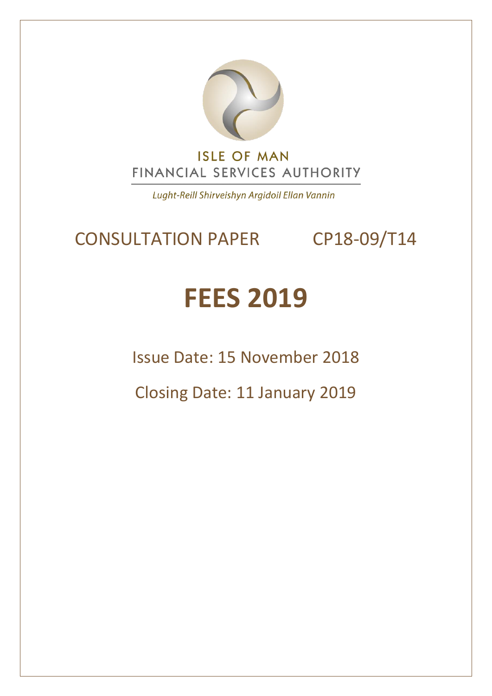

Lught-Reill Shirveishyn Argidoil Ellan Vannin

# CONSULTATION PAPER CP18-09/T14

# **FEES 2019**

Issue Date: 15 November 2018

Closing Date: 11 January 2019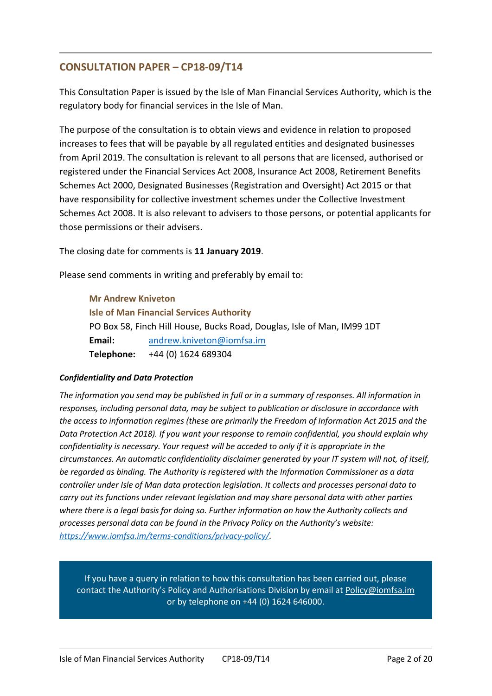#### **CONSULTATION PAPER – CP18-09/T14**

This Consultation Paper is issued by the Isle of Man Financial Services Authority, which is the regulatory body for financial services in the Isle of Man.

The purpose of the consultation is to obtain views and evidence in relation to proposed increases to fees that will be payable by all regulated entities and designated businesses from April 2019. The consultation is relevant to all persons that are licensed, authorised or registered under the Financial Services Act 2008, Insurance Act 2008, Retirement Benefits Schemes Act 2000, Designated Businesses (Registration and Oversight) Act 2015 or that have responsibility for collective investment schemes under the Collective Investment Schemes Act 2008. It is also relevant to advisers to those persons, or potential applicants for those permissions or their advisers.

The closing date for comments is **11 January 2019**.

Please send comments in writing and preferably by email to:

**Mr Andrew Kniveton Isle of Man Financial Services Authority** PO Box 58, Finch Hill House, Bucks Road, Douglas, Isle of Man, IM99 1DT **Email:** [andrew.kniveton@iomfsa.im](mailto:andrew.kniveton@iomfsa.im) **Telephone:** +44 (0) 1624 689304

#### *Confidentiality and Data Protection*

*The information you send may be published in full or in a summary of responses. All information in responses, including personal data, may be subject to publication or disclosure in accordance with the access to information regimes (these are primarily the Freedom of Information Act 2015 and the Data Protection Act 2018). If you want your response to remain confidential, you should explain why confidentiality is necessary. Your request will be acceded to only if it is appropriate in the circumstances. An automatic confidentiality disclaimer generated by your IT system will not, of itself, be regarded as binding. The Authority is registered with the Information Commissioner as a data controller under Isle of Man data protection legislation. It collects and processes personal data to carry out its functions under relevant legislation and may share personal data with other parties where there is a legal basis for doing so. Further information on how the Authority collects and processes personal data can be found in the Privacy Policy on the Authority's website: [https://www.iomfsa.im/terms-conditions/privacy-policy/.](https://www.iomfsa.im/terms-conditions/privacy-policy/)*

If you have a query in relation to how this consultation has been carried out, please contact the Authority's Policy and Authorisations Division by email at [Policy@iomfsa.im](mailto:Policy@iomfsa.im)  or by telephone on +44 (0) 1624 646000.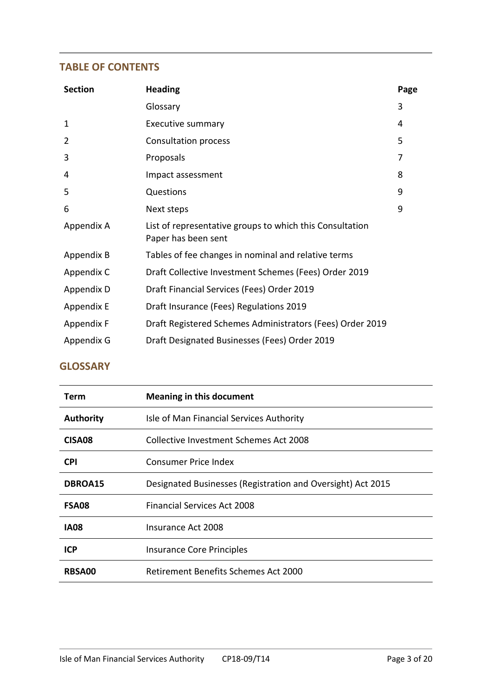#### **TABLE OF CONTENTS**

| <b>Section</b> | <b>Heading</b>                                                                  | Page |
|----------------|---------------------------------------------------------------------------------|------|
|                | Glossary                                                                        | 3    |
| 1              | <b>Executive summary</b>                                                        | 4    |
| $\overline{2}$ | Consultation process                                                            | 5    |
| 3              | Proposals                                                                       | 7    |
| 4              | Impact assessment                                                               | 8    |
| 5              | Questions                                                                       | 9    |
| 6              | Next steps                                                                      | 9    |
| Appendix A     | List of representative groups to which this Consultation<br>Paper has been sent |      |
| Appendix B     | Tables of fee changes in nominal and relative terms                             |      |
| Appendix C     | Draft Collective Investment Schemes (Fees) Order 2019                           |      |
| Appendix D     | Draft Financial Services (Fees) Order 2019                                      |      |
| Appendix E     | Draft Insurance (Fees) Regulations 2019                                         |      |
| Appendix F     | Draft Registered Schemes Administrators (Fees) Order 2019                       |      |
| Appendix G     | Draft Designated Businesses (Fees) Order 2019                                   |      |

#### **GLOSSARY**

| Term               | <b>Meaning in this document</b>                             |
|--------------------|-------------------------------------------------------------|
| <b>Authority</b>   | Isle of Man Financial Services Authority                    |
| CISA <sub>08</sub> | Collective Investment Schemes Act 2008                      |
| <b>CPI</b>         | Consumer Price Index                                        |
| DBROA15            | Designated Businesses (Registration and Oversight) Act 2015 |
| <b>FSA08</b>       | <b>Financial Services Act 2008</b>                          |
| <b>IA08</b>        | Insurance Act 2008                                          |
| <b>ICP</b>         | Insurance Core Principles                                   |
| <b>RBSA00</b>      | Retirement Benefits Schemes Act 2000                        |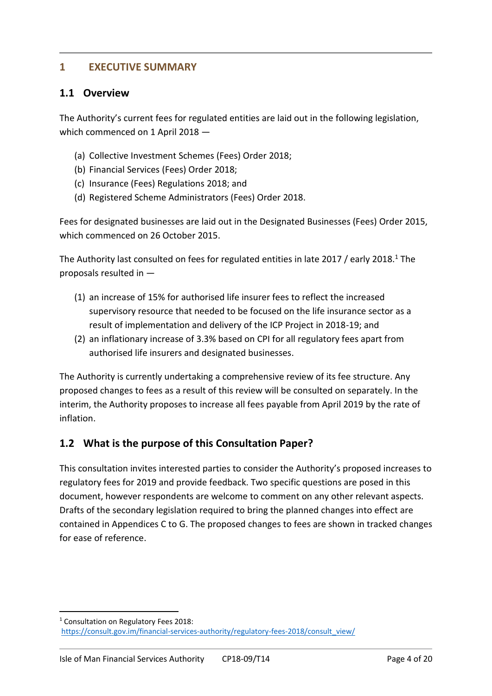#### **1 EXECUTIVE SUMMARY**

#### **1.1 Overview**

The Authority's current fees for regulated entities are laid out in the following legislation, which commenced on 1 April 2018 —

- (a) Collective Investment Schemes (Fees) Order 2018;
- (b) Financial Services (Fees) Order 2018;
- (c) Insurance (Fees) Regulations 2018; and
- (d) Registered Scheme Administrators (Fees) Order 2018.

Fees for designated businesses are laid out in the Designated Businesses (Fees) Order 2015, which commenced on 26 October 2015.

The Authority last consulted on fees for regulated entities in late 2017 / early 2018. <sup>1</sup> The proposals resulted in —

- (1) an increase of 15% for authorised life insurer fees to reflect the increased supervisory resource that needed to be focused on the life insurance sector as a result of implementation and delivery of the ICP Project in 2018-19; and
- (2) an inflationary increase of 3.3% based on CPI for all regulatory fees apart from authorised life insurers and designated businesses.

The Authority is currently undertaking a comprehensive review of its fee structure. Any proposed changes to fees as a result of this review will be consulted on separately. In the interim, the Authority proposes to increase all fees payable from April 2019 by the rate of inflation.

#### **1.2 What is the purpose of this Consultation Paper?**

This consultation invites interested parties to consider the Authority's proposed increases to regulatory fees for 2019 and provide feedback. Two specific questions are posed in this document, however respondents are welcome to comment on any other relevant aspects. Drafts of the secondary legislation required to bring the planned changes into effect are contained in Appendices C to G. The proposed changes to fees are shown in tracked changes for ease of reference.

-

<sup>1</sup> Consultation on Regulatory Fees 2018: [https://consult.gov.im/financial-services-authority/regulatory-fees-2018/consult\\_view/](https://consult.gov.im/financial-services-authority/regulatory-fees-2018/consult_view/)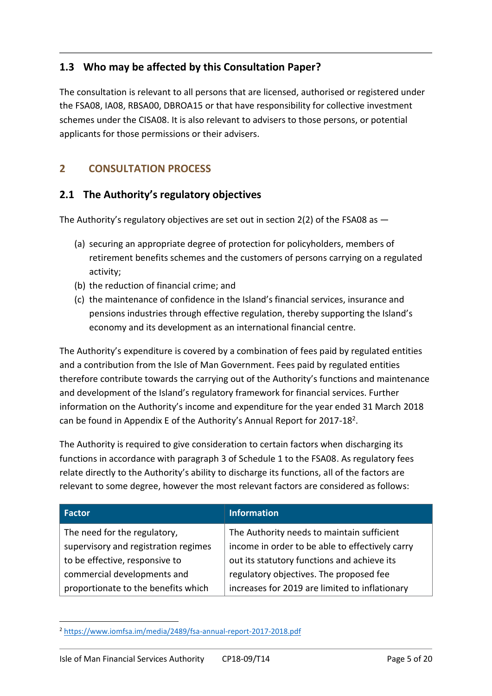# **1.3 Who may be affected by this Consultation Paper?**

The consultation is relevant to all persons that are licensed, authorised or registered under the FSA08, IA08, RBSA00, DBROA15 or that have responsibility for collective investment schemes under the CISA08. It is also relevant to advisers to those persons, or potential applicants for those permissions or their advisers.

# **2 CONSULTATION PROCESS**

# **2.1 The Authority's regulatory objectives**

The Authority's regulatory objectives are set out in section  $2(2)$  of the FSA08 as  $-$ 

- (a) securing an appropriate degree of protection for policyholders, members of retirement benefits schemes and the customers of persons carrying on a regulated activity;
- (b) the reduction of financial crime; and
- (c) the maintenance of confidence in the Island's financial services, insurance and pensions industries through effective regulation, thereby supporting the Island's economy and its development as an international financial centre.

The Authority's expenditure is covered by a combination of fees paid by regulated entities and a contribution from the Isle of Man Government. Fees paid by regulated entities therefore contribute towards the carrying out of the Authority's functions and maintenance and development of the Island's regulatory framework for financial services. Further information on the Authority's income and expenditure for the year ended 31 March 2018 can be found in Appendix E of the Authority's Annual Report for 2017-18<sup>2</sup>.

The Authority is required to give consideration to certain factors when discharging its functions in accordance with paragraph 3 of Schedule 1 to the FSA08. As regulatory fees relate directly to the Authority's ability to discharge its functions, all of the factors are relevant to some degree, however the most relevant factors are considered as follows:

| Factor                               | <b>Information</b>                              |
|--------------------------------------|-------------------------------------------------|
| The need for the regulatory,         | The Authority needs to maintain sufficient      |
| supervisory and registration regimes | income in order to be able to effectively carry |
| to be effective, responsive to       | out its statutory functions and achieve its     |
| commercial developments and          | regulatory objectives. The proposed fee         |
| proportionate to the benefits which  | increases for 2019 are limited to inflationary  |

<sup>1</sup> <sup>2</sup> <https://www.iomfsa.im/media/2489/fsa-annual-report-2017-2018.pdf>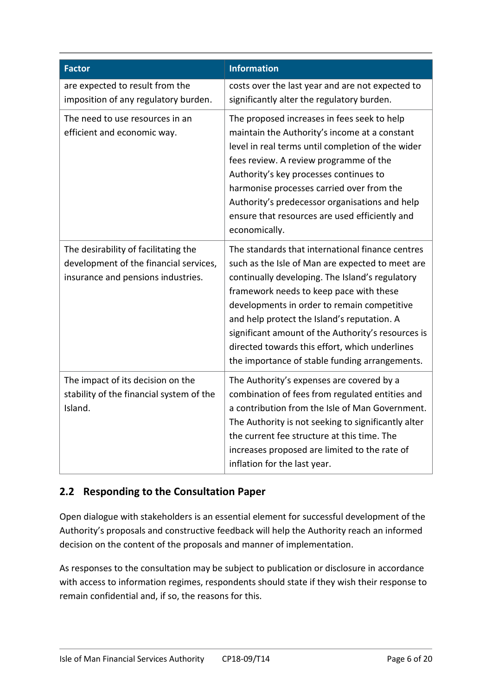| <b>Factor</b>                                                                                                        | <b>Information</b>                                                                                                                                                                                                                                                                                                                                                                                                                                         |
|----------------------------------------------------------------------------------------------------------------------|------------------------------------------------------------------------------------------------------------------------------------------------------------------------------------------------------------------------------------------------------------------------------------------------------------------------------------------------------------------------------------------------------------------------------------------------------------|
| are expected to result from the<br>imposition of any regulatory burden.                                              | costs over the last year and are not expected to<br>significantly alter the regulatory burden.                                                                                                                                                                                                                                                                                                                                                             |
| The need to use resources in an<br>efficient and economic way.                                                       | The proposed increases in fees seek to help<br>maintain the Authority's income at a constant<br>level in real terms until completion of the wider<br>fees review. A review programme of the<br>Authority's key processes continues to<br>harmonise processes carried over from the<br>Authority's predecessor organisations and help<br>ensure that resources are used efficiently and<br>economically.                                                    |
| The desirability of facilitating the<br>development of the financial services,<br>insurance and pensions industries. | The standards that international finance centres<br>such as the Isle of Man are expected to meet are<br>continually developing. The Island's regulatory<br>framework needs to keep pace with these<br>developments in order to remain competitive<br>and help protect the Island's reputation. A<br>significant amount of the Authority's resources is<br>directed towards this effort, which underlines<br>the importance of stable funding arrangements. |
| The impact of its decision on the<br>stability of the financial system of the<br>Island.                             | The Authority's expenses are covered by a<br>combination of fees from regulated entities and<br>a contribution from the Isle of Man Government.<br>The Authority is not seeking to significantly alter<br>the current fee structure at this time. The<br>increases proposed are limited to the rate of<br>inflation for the last year.                                                                                                                     |

# **2.2 Responding to the Consultation Paper**

Open dialogue with stakeholders is an essential element for successful development of the Authority's proposals and constructive feedback will help the Authority reach an informed decision on the content of the proposals and manner of implementation.

As responses to the consultation may be subject to publication or disclosure in accordance with access to information regimes, respondents should state if they wish their response to remain confidential and, if so, the reasons for this.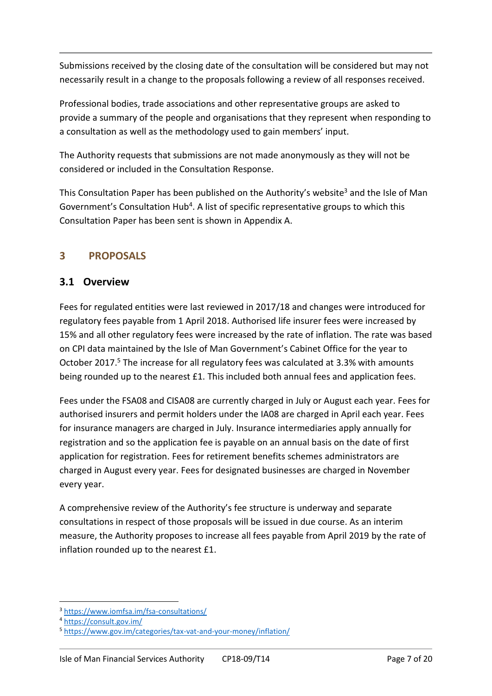Submissions received by the closing date of the consultation will be considered but may not necessarily result in a change to the proposals following a review of all responses received.

Professional bodies, trade associations and other representative groups are asked to provide a summary of the people and organisations that they represent when responding to a consultation as well as the methodology used to gain members' input.

The Authority requests that submissions are not made anonymously as they will not be considered or included in the Consultation Response.

This Consultation Paper has been published on the Authority's website<sup>3</sup> and the Isle of Man Government's Consultation Hub<sup>4</sup>. A list of specific representative groups to which this Consultation Paper has been sent is shown in Appendix A.

# **3 PROPOSALS**

#### **3.1 Overview**

Fees for regulated entities were last reviewed in 2017/18 and changes were introduced for regulatory fees payable from 1 April 2018. Authorised life insurer fees were increased by 15% and all other regulatory fees were increased by the rate of inflation. The rate was based on CPI data maintained by the Isle of Man Government's Cabinet Office for the year to October 2017. <sup>5</sup> The increase for all regulatory fees was calculated at 3.3% with amounts being rounded up to the nearest £1. This included both annual fees and application fees.

Fees under the FSA08 and CISA08 are currently charged in July or August each year. Fees for authorised insurers and permit holders under the IA08 are charged in April each year. Fees for insurance managers are charged in July. Insurance intermediaries apply annually for registration and so the application fee is payable on an annual basis on the date of first application for registration. Fees for retirement benefits schemes administrators are charged in August every year. Fees for designated businesses are charged in November every year.

A comprehensive review of the Authority's fee structure is underway and separate consultations in respect of those proposals will be issued in due course. As an interim measure, the Authority proposes to increase all fees payable from April 2019 by the rate of inflation rounded up to the nearest £1.

1

<sup>&</sup>lt;sup>3</sup> <https://www.iomfsa.im/fsa-consultations/>

<sup>4</sup> <https://consult.gov.im/>

<sup>5</sup> <https://www.gov.im/categories/tax-vat-and-your-money/inflation/>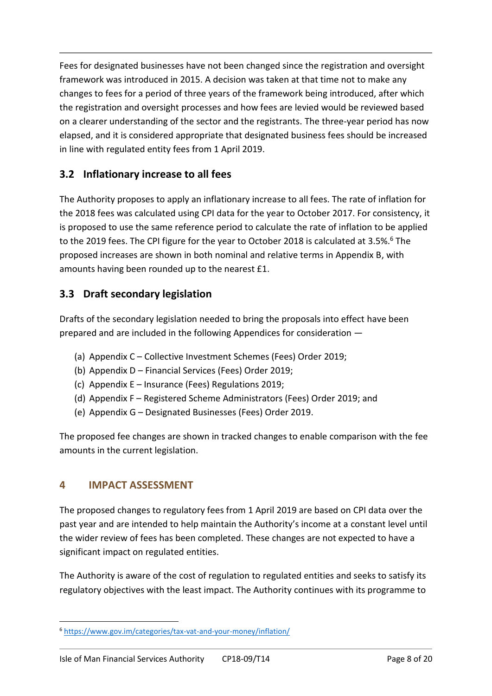Fees for designated businesses have not been changed since the registration and oversight framework was introduced in 2015. A decision was taken at that time not to make any changes to fees for a period of three years of the framework being introduced, after which the registration and oversight processes and how fees are levied would be reviewed based on a clearer understanding of the sector and the registrants. The three-year period has now elapsed, and it is considered appropriate that designated business fees should be increased in line with regulated entity fees from 1 April 2019.

# **3.2 Inflationary increase to all fees**

The Authority proposes to apply an inflationary increase to all fees. The rate of inflation for the 2018 fees was calculated using CPI data for the year to October 2017. For consistency, it is proposed to use the same reference period to calculate the rate of inflation to be applied to the 2019 fees. The CPI figure for the year to October 2018 is calculated at 3.5%.<sup>6</sup> The proposed increases are shown in both nominal and relative terms in Appendix B, with amounts having been rounded up to the nearest £1.

# **3.3 Draft secondary legislation**

Drafts of the secondary legislation needed to bring the proposals into effect have been prepared and are included in the following Appendices for consideration —

- (a) Appendix C Collective Investment Schemes (Fees) Order 2019;
- (b) Appendix D Financial Services (Fees) Order 2019;
- (c) Appendix E Insurance (Fees) Regulations 2019;
- (d) Appendix F Registered Scheme Administrators (Fees) Order 2019; and
- (e) Appendix G Designated Businesses (Fees) Order 2019.

The proposed fee changes are shown in tracked changes to enable comparison with the fee amounts in the current legislation.

#### **4 IMPACT ASSESSMENT**

The proposed changes to regulatory fees from 1 April 2019 are based on CPI data over the past year and are intended to help maintain the Authority's income at a constant level until the wider review of fees has been completed. These changes are not expected to have a significant impact on regulated entities.

The Authority is aware of the cost of regulation to regulated entities and seeks to satisfy its regulatory objectives with the least impact. The Authority continues with its programme to

<sup>1</sup> <sup>6</sup> <https://www.gov.im/categories/tax-vat-and-your-money/inflation/>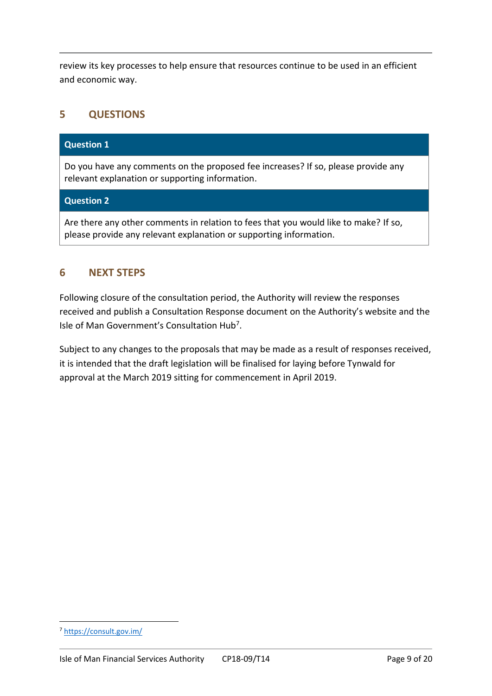review its key processes to help ensure that resources continue to be used in an efficient and economic way.

# **5 QUESTIONS**

#### **Question 1**

Do you have any comments on the proposed fee increases? If so, please provide any relevant explanation or supporting information.

#### **Question 2**

Are there any other comments in relation to fees that you would like to make? If so, please provide any relevant explanation or supporting information.

#### **6 NEXT STEPS**

Following closure of the consultation period, the Authority will review the responses received and publish a Consultation Response document on the Authority's website and the Isle of Man Government's Consultation Hub<sup>7</sup>.

Subject to any changes to the proposals that may be made as a result of responses received, it is intended that the draft legislation will be finalised for laying before Tynwald for approval at the March 2019 sitting for commencement in April 2019.

1

<sup>7</sup> <https://consult.gov.im/>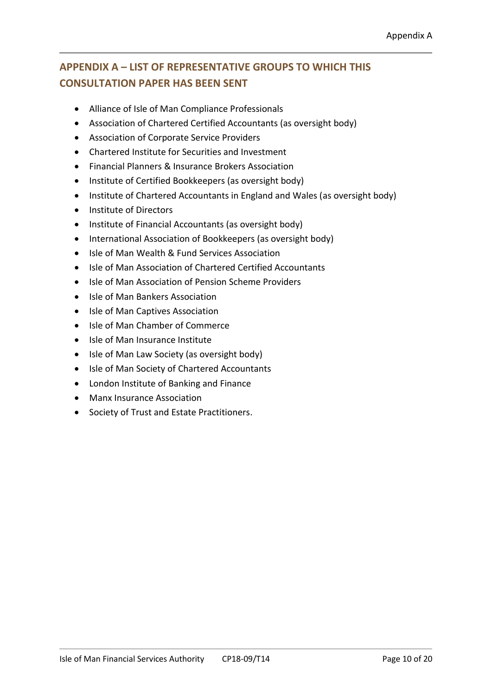# **APPENDIX A – LIST OF REPRESENTATIVE GROUPS TO WHICH THIS CONSULTATION PAPER HAS BEEN SENT**

- Alliance of Isle of Man Compliance Professionals
- Association of Chartered Certified Accountants (as oversight body)
- Association of Corporate Service Providers
- Chartered Institute for Securities and Investment
- Financial Planners & Insurance Brokers Association
- Institute of Certified Bookkeepers (as oversight body)
- Institute of Chartered Accountants in England and Wales (as oversight body)
- Institute of Directors
- Institute of Financial Accountants (as oversight body)
- International Association of Bookkeepers (as oversight body)
- Isle of Man Wealth & Fund Services Association
- Isle of Man Association of Chartered Certified Accountants
- Isle of Man Association of Pension Scheme Providers
- Isle of Man Bankers Association
- Isle of Man Captives Association
- Isle of Man Chamber of Commerce
- Isle of Man Insurance Institute
- Isle of Man Law Society (as oversight body)
- Isle of Man Society of Chartered Accountants
- London Institute of Banking and Finance
- Manx Insurance Association
- Society of Trust and Estate Practitioners.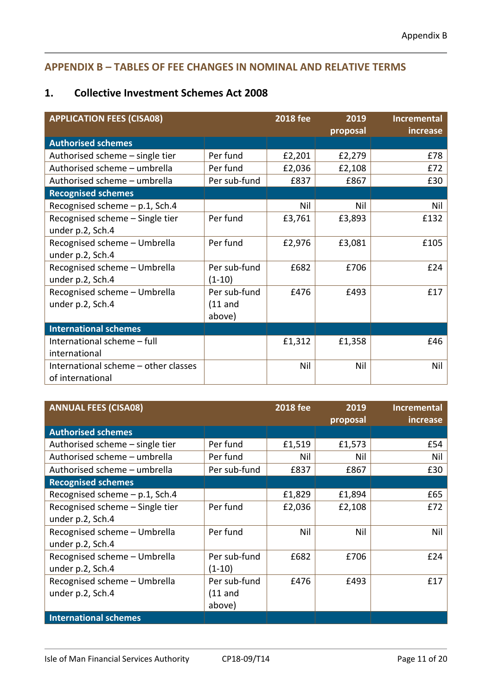# **APPENDIX B – TABLES OF FEE CHANGES IN NOMINAL AND RELATIVE TERMS**

# **1. Collective Investment Schemes Act 2008**

| <b>APPLICATION FEES (CISA08)</b>     |              | <b>2018 fee</b> | 2019     | <b>Incremental</b> |
|--------------------------------------|--------------|-----------------|----------|--------------------|
|                                      |              |                 | proposal | increase           |
| <b>Authorised schemes</b>            |              |                 |          |                    |
| Authorised scheme - single tier      | Per fund     | £2,201          | £2,279   | £78                |
| Authorised scheme - umbrella         | Per fund     | £2,036          | £2,108   | £72                |
| Authorised scheme - umbrella         | Per sub-fund | £837            | £867     | £30                |
| <b>Recognised schemes</b>            |              |                 |          |                    |
| Recognised scheme - p.1, Sch.4       |              | Nil             | Nil      | Nil                |
| Recognised scheme - Single tier      | Per fund     | £3,761          | £3,893   | £132               |
| under p.2, Sch.4                     |              |                 |          |                    |
| Recognised scheme - Umbrella         | Per fund     | £2,976          | £3,081   | £105               |
| under p.2, Sch.4                     |              |                 |          |                    |
| Recognised scheme - Umbrella         | Per sub-fund | £682            | £706     | £24                |
| under p.2, Sch.4                     | $(1-10)$     |                 |          |                    |
| Recognised scheme - Umbrella         | Per sub-fund | £476            | £493     | £17                |
| under p.2, Sch.4                     | $(11$ and    |                 |          |                    |
|                                      | above)       |                 |          |                    |
| <b>International schemes</b>         |              |                 |          |                    |
| International scheme - full          |              | £1,312          | £1,358   | £46                |
| international                        |              |                 |          |                    |
| International scheme - other classes |              | Nil             | Nil      | Nil                |
| of international                     |              |                 |          |                    |

| <b>ANNUAL FEES (CISA08)</b>     |              | <b>2018 fee</b> | 2019<br>proposal | <b>Incremental</b><br>increase |
|---------------------------------|--------------|-----------------|------------------|--------------------------------|
| <b>Authorised schemes</b>       |              |                 |                  |                                |
| Authorised scheme - single tier | Per fund     | £1,519          | £1,573           | £54                            |
| Authorised scheme - umbrella    | Per fund     | Nil             | Nil              | Nil                            |
| Authorised scheme - umbrella    | Per sub-fund | £837            | £867             | £30                            |
| <b>Recognised schemes</b>       |              |                 |                  |                                |
| Recognised scheme - p.1, Sch.4  |              | £1,829          | £1,894           | £65                            |
| Recognised scheme - Single tier | Per fund     | £2,036          | £2,108           | £72                            |
| under p.2, Sch.4                |              |                 |                  |                                |
| Recognised scheme - Umbrella    | Per fund     | Nil             | Nil              | Nil                            |
| under p.2, Sch.4                |              |                 |                  |                                |
| Recognised scheme - Umbrella    | Per sub-fund | £682            | £706             | £24                            |
| under p.2, Sch.4                | (1-10)       |                 |                  |                                |
| Recognised scheme - Umbrella    | Per sub-fund | £476            | £493             | £17                            |
| under p.2, Sch.4                | (11 and      |                 |                  |                                |
|                                 | above)       |                 |                  |                                |
| <b>International schemes</b>    |              |                 |                  |                                |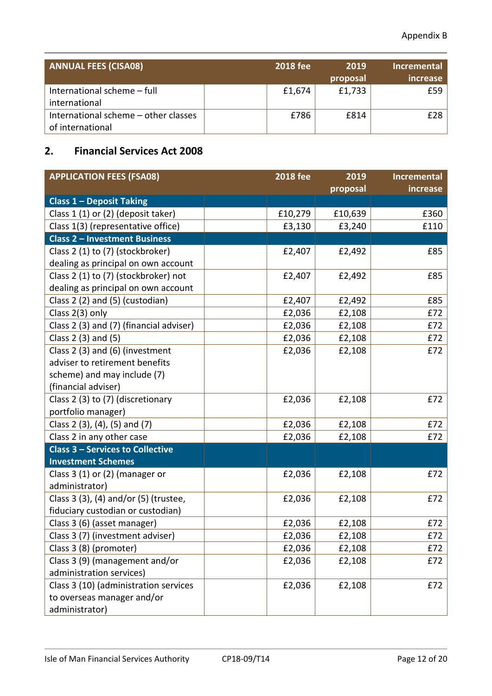| <b>ANNUAL FEES (CISA08)</b>                              | <b>2018 fee</b> | 2019<br>proposal | <b>Incremental</b><br>increase |
|----------------------------------------------------------|-----------------|------------------|--------------------------------|
| International scheme - full<br>international             | £1,674          | £1,733           | f <sub>59</sub>                |
| International scheme - other classes<br>of international | £786            | £814             | f28                            |

# **2. Financial Services Act 2008**

| <b>APPLICATION FEES (FSA08)</b>         | <b>2018 fee</b> | 2019     | <b>Incremental</b> |
|-----------------------------------------|-----------------|----------|--------------------|
|                                         |                 | proposal | increase           |
| <b>Class 1 - Deposit Taking</b>         |                 |          |                    |
| Class 1 (1) or (2) (deposit taker)      | £10,279         | £10,639  | £360               |
| Class 1(3) (representative office)      | £3,130          | £3,240   | £110               |
| <b>Class 2 - Investment Business</b>    |                 |          |                    |
| Class 2 (1) to (7) (stockbroker)        | £2,407          | £2,492   | £85                |
| dealing as principal on own account     |                 |          |                    |
| Class 2 (1) to (7) (stockbroker) not    | £2,407          | £2,492   | £85                |
| dealing as principal on own account     |                 |          |                    |
| Class 2 (2) and (5) (custodian)         | £2,407          | £2,492   | £85                |
| Class 2(3) only                         | £2,036          | £2,108   | £72                |
| Class 2 (3) and (7) (financial adviser) | £2,036          | £2,108   | £72                |
| Class 2 (3) and (5)                     | £2,036          | £2,108   | £72                |
| Class 2 (3) and (6) (investment         | £2,036          | £2,108   | £72                |
| adviser to retirement benefits          |                 |          |                    |
| scheme) and may include (7)             |                 |          |                    |
| (financial adviser)                     |                 |          |                    |
| Class 2 (3) to (7) (discretionary       | £2,036          | £2,108   | £72                |
| portfolio manager)                      |                 |          |                    |
| Class 2 (3), (4), (5) and (7)           | £2,036          | £2,108   | £72                |
| Class 2 in any other case               | £2,036          | £2,108   | £72                |
| <b>Class 3 - Services to Collective</b> |                 |          |                    |
| <b>Investment Schemes</b>               |                 |          |                    |
| Class $3(1)$ or $(2)$ (manager or       | £2,036          | £2,108   | £72                |
| administrator)                          |                 |          |                    |
| Class 3 (3), (4) and/or (5) (trustee,   | £2,036          | £2,108   | £72                |
| fiduciary custodian or custodian)       |                 |          |                    |
| Class 3 (6) (asset manager)             | £2,036          | £2,108   | £72                |
| Class 3 (7) (investment adviser)        | £2,036          | £2,108   | £72                |
| Class 3 (8) (promoter)                  | £2,036          | £2,108   | £72                |
| Class 3 (9) (management and/or          | £2,036          | £2,108   | £72                |
| administration services)                |                 |          |                    |
| Class 3 (10) (administration services   | £2,036          | £2,108   | £72                |
| to overseas manager and/or              |                 |          |                    |
| administrator)                          |                 |          |                    |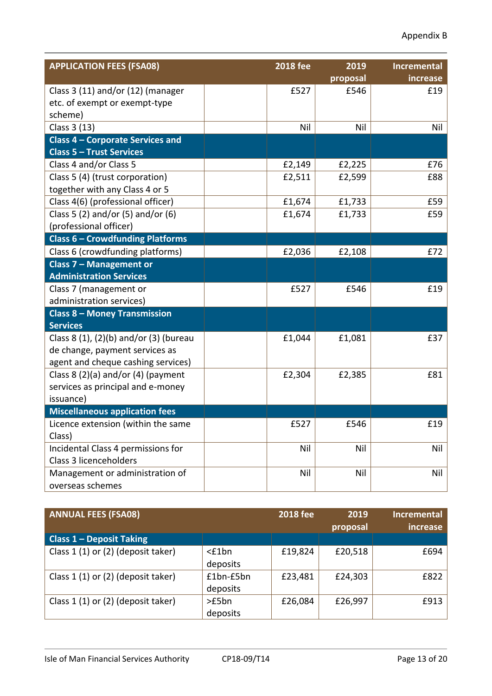| <b>APPLICATION FEES (FSA08)</b>               | <b>2018 fee</b> | 2019         | Incremental |
|-----------------------------------------------|-----------------|--------------|-------------|
|                                               |                 | proposal     | increase    |
| Class 3 (11) and/or (12) (manager             |                 | £527<br>£546 | £19         |
| etc. of exempt or exempt-type                 |                 |              |             |
| scheme)                                       |                 |              |             |
| Class 3 (13)                                  |                 | Nil<br>Nil   | Nil         |
| <b>Class 4 - Corporate Services and</b>       |                 |              |             |
| <b>Class 5 - Trust Services</b>               |                 |              |             |
| Class 4 and/or Class 5                        | £2,149          | £2,225       | £76         |
| Class 5 (4) (trust corporation)               | £2,511          | £2,599       | £88         |
| together with any Class 4 or 5                |                 |              |             |
| Class 4(6) (professional officer)             | £1,674          | £1,733       | £59         |
| Class 5 (2) and/or (5) and/or (6)             | £1,674          | £1,733       | £59         |
| (professional officer)                        |                 |              |             |
| <b>Class 6 - Crowdfunding Platforms</b>       |                 |              |             |
| Class 6 (crowdfunding platforms)              | £2,036          | £2,108       | £72         |
| Class 7 - Management or                       |                 |              |             |
| <b>Administration Services</b>                |                 |              |             |
| Class 7 (management or                        |                 | £527<br>£546 | £19         |
| administration services)                      |                 |              |             |
| <b>Class 8 - Money Transmission</b>           |                 |              |             |
| <b>Services</b>                               |                 |              |             |
| Class 8 $(1)$ , $(2)(b)$ and/or $(3)$ (bureau | £1,044          | £1,081       | £37         |
| de change, payment services as                |                 |              |             |
| agent and cheque cashing services)            |                 |              |             |
| Class $8(2)(a)$ and/or $(4)$ (payment         | £2,304          | £2,385       | £81         |
| services as principal and e-money             |                 |              |             |
| issuance)                                     |                 |              |             |
| <b>Miscellaneous application fees</b>         |                 |              |             |
| Licence extension (within the same            |                 | £527<br>£546 | £19         |
| Class)                                        |                 |              |             |
| Incidental Class 4 permissions for            |                 | Nil<br>Nil   | Nil         |
| Class 3 licenceholders                        |                 |              |             |
| Management or administration of               |                 | Nil<br>Nil   | Nil         |
| overseas schemes                              |                 |              |             |

| <b>ANNUAL FEES (FSA08)</b>         |             | <b>2018 fee</b> | 2019<br>proposal | <b>Incremental</b><br>increase |
|------------------------------------|-------------|-----------------|------------------|--------------------------------|
| <b>Class 1 - Deposit Taking</b>    |             |                 |                  |                                |
| Class 1 (1) or (2) (deposit taker) | $<$ £1 $bn$ | £19,824         | £20,518          | £694                           |
|                                    | deposits    |                 |                  |                                |
| Class 1 (1) or (2) (deposit taker) | $£1bn-E5bn$ | £23,481         | £24,303          | £822                           |
|                                    | deposits    |                 |                  |                                |
| Class 1 (1) or (2) (deposit taker) | >E5bn       | £26,084         | £26,997          | £913                           |
|                                    | deposits    |                 |                  |                                |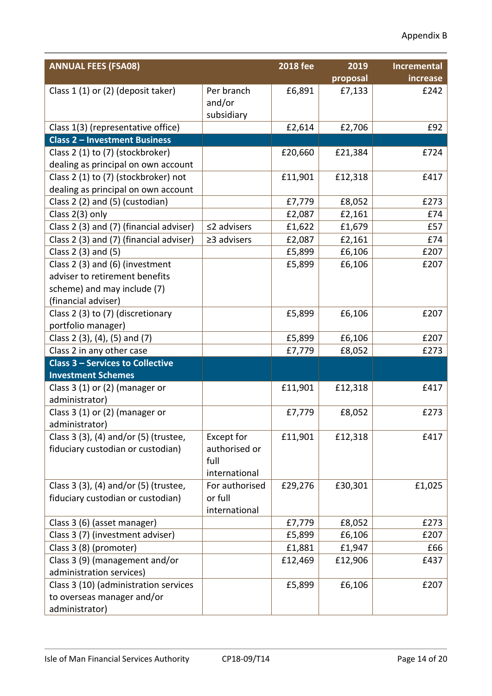| <b>ANNUAL FEES (FSA08)</b>              |                   | <b>2018 fee</b> | 2019     | <b>Incremental</b> |
|-----------------------------------------|-------------------|-----------------|----------|--------------------|
|                                         |                   |                 | proposal | increase           |
| Class 1 (1) or (2) (deposit taker)      | Per branch        | £6,891          | £7,133   | £242               |
|                                         | and/or            |                 |          |                    |
|                                         | subsidiary        |                 |          |                    |
| Class 1(3) (representative office)      |                   | £2,614          | £2,706   | £92                |
| <b>Class 2 - Investment Business</b>    |                   |                 |          |                    |
| Class 2 (1) to (7) (stockbroker)        |                   | £20,660         | £21,384  | £724               |
| dealing as principal on own account     |                   |                 |          |                    |
| Class 2 (1) to (7) (stockbroker) not    |                   | £11,901         | £12,318  | £417               |
| dealing as principal on own account     |                   |                 |          |                    |
| Class 2 (2) and (5) (custodian)         |                   | £7,779          | £8,052   | £273               |
| Class 2(3) only                         |                   | £2,087          | £2,161   | £74                |
| Class 2 (3) and (7) (financial adviser) | $\leq$ 2 advisers | £1,622          | £1,679   | £57                |
| Class 2 (3) and (7) (financial adviser) | $\geq$ 3 advisers | £2,087          | £2,161   | £74                |
| Class 2 (3) and (5)                     |                   | £5,899          | £6,106   | £207               |
| Class 2 (3) and (6) (investment         |                   | £5,899          | £6,106   | £207               |
| adviser to retirement benefits          |                   |                 |          |                    |
| scheme) and may include (7)             |                   |                 |          |                    |
| (financial adviser)                     |                   |                 |          |                    |
| Class 2 (3) to (7) (discretionary       |                   | £5,899          | £6,106   | £207               |
| portfolio manager)                      |                   |                 |          |                    |
| Class 2 (3), (4), (5) and (7)           |                   | £5,899          | £6,106   | £207               |
| Class 2 in any other case               |                   | £7,779          | £8,052   | £273               |
| <b>Class 3 - Services to Collective</b> |                   |                 |          |                    |
| <b>Investment Schemes</b>               |                   |                 |          |                    |
| Class $3(1)$ or $(2)$ (manager or       |                   | £11,901         | £12,318  | £417               |
| administrator)                          |                   |                 |          |                    |
| Class $3(1)$ or $(2)$ (manager or       |                   | £7,779          | £8,052   | £273               |
| administrator)                          |                   |                 |          |                    |
| Class 3 (3), (4) and/or (5) (trustee,   | Except for        | £11,901         | £12,318  | £417               |
| fiduciary custodian or custodian)       | authorised or     |                 |          |                    |
|                                         | full              |                 |          |                    |
|                                         | international     |                 |          |                    |
| Class 3 (3), (4) and/or (5) (trustee,   | For authorised    | £29,276         | £30,301  | £1,025             |
| fiduciary custodian or custodian)       | or full           |                 |          |                    |
|                                         | international     |                 |          |                    |
| Class 3 (6) (asset manager)             |                   | £7,779          | £8,052   | £273               |
| Class 3 (7) (investment adviser)        |                   | £5,899          | £6,106   | £207               |
| Class 3 (8) (promoter)                  |                   | £1,881          | £1,947   | £66                |
| Class 3 (9) (management and/or          |                   | £12,469         | £12,906  | £437               |
| administration services)                |                   |                 |          |                    |
| Class 3 (10) (administration services   |                   | £5,899          | £6,106   | £207               |
| to overseas manager and/or              |                   |                 |          |                    |
| administrator)                          |                   |                 |          |                    |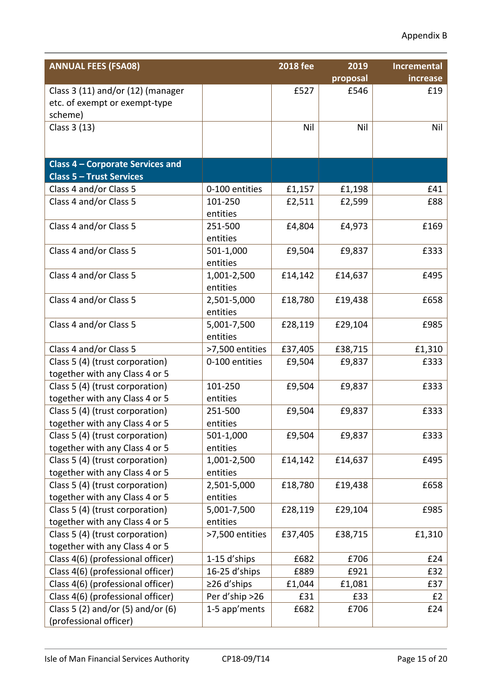| <b>ANNUAL FEES (FSA08)</b>              |                     | <b>2018 fee</b> | 2019     | <b>Incremental</b> |
|-----------------------------------------|---------------------|-----------------|----------|--------------------|
|                                         |                     |                 | proposal | increase           |
| Class 3 (11) and/or (12) (manager       |                     | £527            | £546     | £19                |
| etc. of exempt or exempt-type           |                     |                 |          |                    |
| scheme)                                 |                     |                 |          |                    |
| Class 3 (13)                            |                     | Nil             | Nil      | Nil                |
|                                         |                     |                 |          |                    |
|                                         |                     |                 |          |                    |
| <b>Class 4 - Corporate Services and</b> |                     |                 |          |                    |
| <b>Class 5 - Trust Services</b>         |                     |                 |          |                    |
| Class 4 and/or Class 5                  | 0-100 entities      | £1,157          | £1,198   | £41                |
| Class 4 and/or Class 5                  | 101-250             | £2,511          | £2,599   | £88                |
|                                         | entities            |                 |          |                    |
| Class 4 and/or Class 5                  | 251-500<br>entities | £4,804          | £4,973   | £169               |
| Class 4 and/or Class 5                  | 501-1,000           | £9,504          | £9,837   | £333               |
|                                         | entities            |                 |          |                    |
| Class 4 and/or Class 5                  | 1,001-2,500         | £14,142         | £14,637  | £495               |
|                                         | entities            |                 |          |                    |
| Class 4 and/or Class 5                  | 2,501-5,000         | £18,780         | £19,438  | £658               |
|                                         | entities            |                 |          |                    |
| Class 4 and/or Class 5                  | 5,001-7,500         | £28,119         | £29,104  | £985               |
|                                         | entities            |                 |          |                    |
| Class 4 and/or Class 5                  | >7,500 entities     | £37,405         | £38,715  | £1,310             |
| Class 5 (4) (trust corporation)         | 0-100 entities      | £9,504          | £9,837   | £333               |
| together with any Class 4 or 5          |                     |                 |          |                    |
| Class 5 (4) (trust corporation)         | 101-250             | £9,504          | £9,837   | £333               |
| together with any Class 4 or 5          | entities            |                 |          |                    |
| Class 5 (4) (trust corporation)         | 251-500             | £9,504          | £9,837   | £333               |
| together with any Class 4 or 5          | entities            |                 |          |                    |
| Class 5 (4) (trust corporation)         | 501-1,000           | £9,504          | £9,837   | £333               |
| together with any Class 4 or 5          | entities            |                 |          |                    |
| Class 5 (4) (trust corporation)         | 1,001-2,500         | £14,142         | £14,637  | £495               |
| together with any Class 4 or 5          | entities            |                 |          |                    |
| Class 5 (4) (trust corporation)         | 2,501-5,000         | £18,780         | £19,438  | £658               |
| together with any Class 4 or 5          | entities            |                 |          |                    |
| Class 5 (4) (trust corporation)         | 5,001-7,500         | £28,119         | £29,104  | £985               |
| together with any Class 4 or 5          | entities            |                 |          |                    |
| Class 5 (4) (trust corporation)         | >7,500 entities     | £37,405         | £38,715  | £1,310             |
| together with any Class 4 or 5          |                     |                 |          |                    |
| Class 4(6) (professional officer)       | 1-15 d'ships        | £682            | £706     | £24                |
| Class 4(6) (professional officer)       | 16-25 d'ships       | £889            | £921     | £32                |
| Class 4(6) (professional officer)       | $\geq$ 26 d'ships   | £1,044          | £1,081   | £37                |
| Class 4(6) (professional officer)       | Per d'ship >26      | £31             | £33      | E2                 |
| Class 5 (2) and/or (5) and/or (6)       | 1-5 app'ments       | £682            | £706     | £24                |
| (professional officer)                  |                     |                 |          |                    |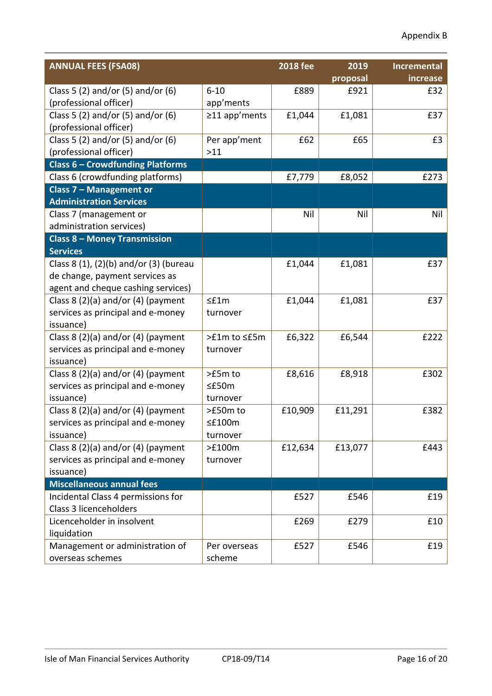| <b>ANNUAL FEES (FSA08)</b>              |               | <b>2018 fee</b> | 2019     | <b>Incremental</b> |
|-----------------------------------------|---------------|-----------------|----------|--------------------|
|                                         |               |                 | proposal | increase           |
| Class 5 (2) and/or (5) and/or (6)       | $6 - 10$      | £889            | £921     | £32                |
| (professional officer)                  | app'ments     |                 |          |                    |
| Class 5 (2) and/or (5) and/or (6)       | ≥11 app'ments | £1,044          | £1,081   | £37                |
| (professional officer)                  |               |                 |          |                    |
| Class 5 (2) and/or (5) and/or (6)       | Per app'ment  | £62             | £65      | £3                 |
| (professional officer)                  | >11           |                 |          |                    |
| <b>Class 6 - Crowdfunding Platforms</b> |               |                 |          |                    |
| Class 6 (crowdfunding platforms)        |               | £7,779          | £8,052   | £273               |
| Class 7 - Management or                 |               |                 |          |                    |
| <b>Administration Services</b>          |               |                 |          |                    |
| Class 7 (management or                  |               | Nil             | Nil      | Nil                |
| administration services)                |               |                 |          |                    |
| <b>Class 8 - Money Transmission</b>     |               |                 |          |                    |
| <b>Services</b>                         |               |                 |          |                    |
| Class 8 (1), (2)(b) and/or (3) (bureau  |               | £1,044          | £1,081   | £37                |
| de change, payment services as          |               |                 |          |                    |
| agent and cheque cashing services)      |               |                 |          |                    |
| Class 8 $(2)(a)$ and/or $(4)$ (payment  | $\leq$ f1m    | £1,044          | £1,081   | £37                |
| services as principal and e-money       | turnover      |                 |          |                    |
| issuance)                               |               |                 |          |                    |
| Class 8 $(2)(a)$ and/or $(4)$ (payment  | >£1m to <£5m  | £6,322          | £6,544   | £222               |
| services as principal and e-money       | turnover      |                 |          |                    |
| issuance)                               |               |                 |          |                    |
| Class $8(2)(a)$ and/or $(4)$ (payment   | >£5m to       | £8,616          | £8,918   | £302               |
| services as principal and e-money       | $\leq$ £50m   |                 |          |                    |
| issuance)                               | turnover      |                 |          |                    |
| Class 8 $(2)(a)$ and/or $(4)$ (payment  | >£50m to      | £10,909         | £11,291  | £382               |
| services as principal and e-money       | $\leq$ £100m  |                 |          |                    |
| issuance)                               | turnover      |                 |          |                    |
| Class 8 $(2)(a)$ and/or $(4)$ (payment  | >£100m        | £12,634         | £13,077  | £443               |
| services as principal and e-money       | turnover      |                 |          |                    |
| issuance)                               |               |                 |          |                    |
| <b>Miscellaneous annual fees</b>        |               |                 |          |                    |
| Incidental Class 4 permissions for      |               | £527            | £546     | £19                |
| Class 3 licenceholders                  |               |                 |          |                    |
| Licenceholder in insolvent              |               | £269            | £279     | £10                |
| liquidation                             |               |                 |          |                    |
| Management or administration of         | Per overseas  | £527            | £546     | £19                |
| overseas schemes                        | scheme        |                 |          |                    |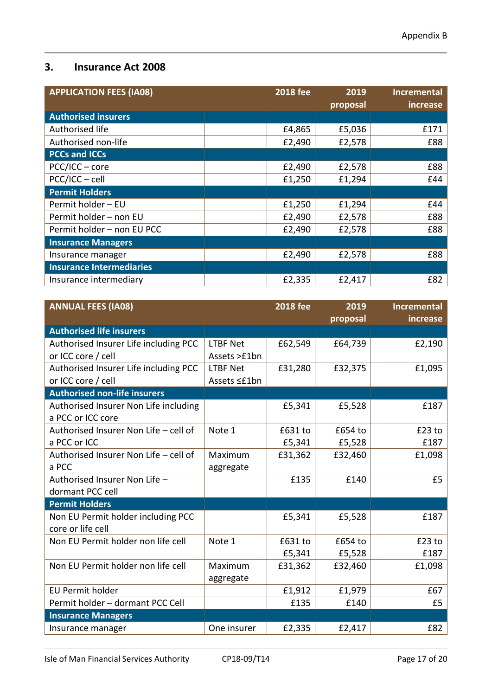#### **3. Insurance Act 2008**

| <b>APPLICATION FEES (IA08)</b>  | <b>2018 fee</b> | 2019     | <b>Incremental</b> |
|---------------------------------|-----------------|----------|--------------------|
|                                 |                 | proposal | increase           |
| <b>Authorised insurers</b>      |                 |          |                    |
| Authorised life                 | £4,865          | £5,036   | £171               |
| Authorised non-life             | £2,490          | £2,578   | £88                |
| <b>PCCs and ICCs</b>            |                 |          |                    |
| PCC/ICC - core                  | £2,490          | £2,578   | £88                |
| PCC/ICC - cell                  | £1,250          | £1,294   | £44                |
| <b>Permit Holders</b>           |                 |          |                    |
| Permit holder - EU              | £1,250          | £1,294   | £44                |
| Permit holder - non EU          | £2,490          | £2,578   | £88                |
| Permit holder - non EU PCC      | £2,490          | £2,578   | £88                |
| <b>Insurance Managers</b>       |                 |          |                    |
| Insurance manager               | £2,490          | £2,578   | £88                |
| <b>Insurance Intermediaries</b> |                 |          |                    |
| Insurance intermediary          | £2,335          | £2,417   | £82                |

| <b>ANNUAL FEES (IA08)</b>             |                 | <b>2018 fee</b> | 2019<br>proposal | <b>Incremental</b><br>increase |
|---------------------------------------|-----------------|-----------------|------------------|--------------------------------|
| <b>Authorised life insurers</b>       |                 |                 |                  |                                |
| Authorised Insurer Life including PCC | <b>LTBF Net</b> | £62,549         | £64,739          | £2,190                         |
| or ICC core / cell                    | Assets >£1bn    |                 |                  |                                |
| Authorised Insurer Life including PCC | <b>LTBF Net</b> | £31,280         | £32,375          | £1,095                         |
| or ICC core / cell                    | Assets ≤£1bn    |                 |                  |                                |
| <b>Authorised non-life insurers</b>   |                 |                 |                  |                                |
| Authorised Insurer Non Life including |                 | £5,341          | £5,528           | £187                           |
| a PCC or ICC core                     |                 |                 |                  |                                |
| Authorised Insurer Non Life - cell of | Note 1          | £631 to         | £654 to          | $£23$ to                       |
| a PCC or ICC                          |                 | £5,341          | £5,528           | £187                           |
| Authorised Insurer Non Life - cell of | Maximum         | £31,362         | £32,460          | £1,098                         |
| a PCC                                 | aggregate       |                 |                  |                                |
| Authorised Insurer Non Life -         |                 | £135            | £140             | £5                             |
| dormant PCC cell                      |                 |                 |                  |                                |
| <b>Permit Holders</b>                 |                 |                 |                  |                                |
| Non EU Permit holder including PCC    |                 | £5,341          | £5,528           | £187                           |
| core or life cell                     |                 |                 |                  |                                |
| Non EU Permit holder non life cell    | Note 1          | £631 to         | £654 to          | $£23$ to                       |
|                                       |                 | £5,341          | £5,528           | £187                           |
| Non EU Permit holder non life cell    | Maximum         | £31,362         | £32,460          | £1,098                         |
|                                       | aggregate       |                 |                  |                                |
| <b>EU Permit holder</b>               |                 | £1,912          | £1,979           | £67                            |
| Permit holder - dormant PCC Cell      |                 | £135            | £140             | £5                             |
| <b>Insurance Managers</b>             |                 |                 |                  |                                |
| Insurance manager                     | One insurer     | £2,335          | £2,417           | £82                            |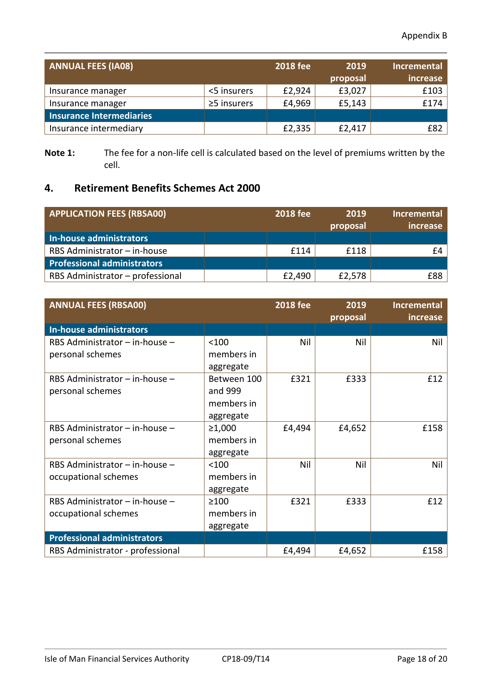| <b>ANNUAL FEES (IA08)</b> |                   | <b>2018 fee</b> | 2019<br>proposal | <b>Incremental</b><br>increase |
|---------------------------|-------------------|-----------------|------------------|--------------------------------|
| Insurance manager         | <5 insurers       | £2,924          | £3,027           | £103                           |
| Insurance manager         | $\geq$ 5 insurers | £4,969          | £5,143           | £174                           |
| Insurance Intermediaries  |                   |                 |                  |                                |
| Insurance intermediary    |                   | £2,335          | £2,417           | £82                            |

**Note 1:** The fee for a non-life cell is calculated based on the level of premiums written by the cell.

# **4. Retirement Benefits Schemes Act 2000**

| <b>APPLICATION FEES (RBSA00)</b>   | <b>2018 fee</b> | 2019<br>proposal | <b>Incremental</b><br>increase |
|------------------------------------|-----------------|------------------|--------------------------------|
| In-house administrators            |                 |                  |                                |
| RBS Administrator - in-house       | £114            | £118             | f4                             |
| <b>Professional administrators</b> |                 |                  |                                |
| RBS Administrator - professional   | £2,490          | £2,578           | £88                            |

| <b>ANNUAL FEES (RBSA00)</b>        |             | <b>2018 fee</b> | 2019<br>proposal | <b>Incremental</b><br>increase |
|------------------------------------|-------------|-----------------|------------------|--------------------------------|
| In-house administrators            |             |                 |                  |                                |
| RBS Administrator - in-house -     | < 100       | Nil             | Nil              | Nil                            |
| personal schemes                   | members in  |                 |                  |                                |
|                                    | aggregate   |                 |                  |                                |
| RBS Administrator - in-house -     | Between 100 | £321            | £333             | £12                            |
| personal schemes                   | and 999     |                 |                  |                                |
|                                    | members in  |                 |                  |                                |
|                                    | aggregate   |                 |                  |                                |
| RBS Administrator - in-house -     | ≥1,000      | £4,494          | £4,652           | £158                           |
| personal schemes                   | members in  |                 |                  |                                |
|                                    | aggregate   |                 |                  |                                |
| RBS Administrator - in-house -     | < 100       | Nil             | Nil              | Nil                            |
| occupational schemes               | members in  |                 |                  |                                |
|                                    | aggregate   |                 |                  |                                |
| RBS Administrator – in-house –     | >100        | £321            | £333             | £12                            |
| occupational schemes               | members in  |                 |                  |                                |
|                                    | aggregate   |                 |                  |                                |
| <b>Professional administrators</b> |             |                 |                  |                                |
| RBS Administrator - professional   |             | £4,494          | £4,652           | £158                           |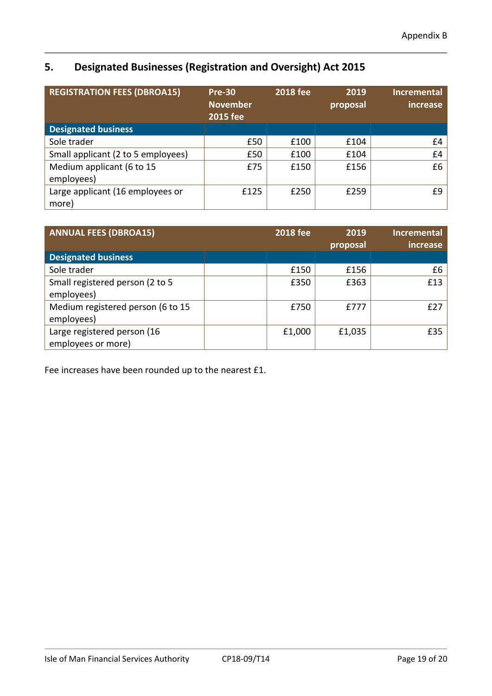# **5. Designated Businesses (Registration and Oversight) Act 2015**

| <b>REGISTRATION FEES (DBROA15)</b> | <b>Pre-30</b><br><b>November</b><br><b>2015 fee</b> | <b>2018 fee</b> | 2019<br>proposal | <b>Incremental</b><br>increase |
|------------------------------------|-----------------------------------------------------|-----------------|------------------|--------------------------------|
| <b>Designated business</b>         |                                                     |                 |                  |                                |
| Sole trader                        | £50                                                 | £100            | £104             | £4                             |
| Small applicant (2 to 5 employees) | £50                                                 | £100            | £104             | £4                             |
| Medium applicant (6 to 15          | £75                                                 | £150            | £156             | £6                             |
| employees)                         |                                                     |                 |                  |                                |
| Large applicant (16 employees or   | £125                                                | £250            | £259             | £9                             |
| more)                              |                                                     |                 |                  |                                |

| <b>ANNUAL FEES (DBROA15)</b>      | <b>2018 fee</b> | 2019<br>proposal | <b>Incremental</b><br>increase |
|-----------------------------------|-----------------|------------------|--------------------------------|
| <b>Designated business</b>        |                 |                  |                                |
| Sole trader                       | £150            | £156             | £6                             |
| Small registered person (2 to 5   | £350            | £363             | £13                            |
| employees)                        |                 |                  |                                |
| Medium registered person (6 to 15 | £750            | £777             | f27                            |
| employees)                        |                 |                  |                                |
| Large registered person (16       | £1,000          | £1,035           | £35                            |
| employees or more)                |                 |                  |                                |

Fee increases have been rounded up to the nearest £1.